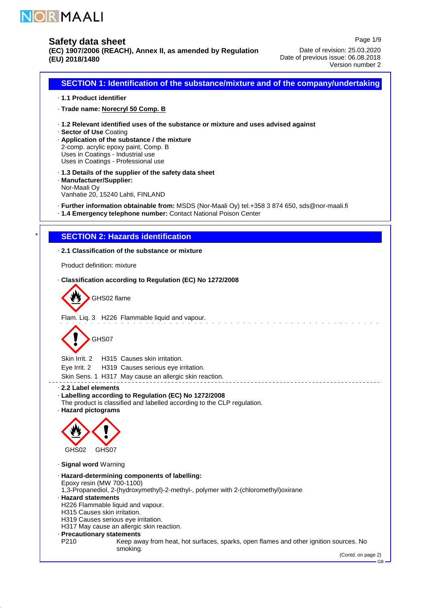

\*

## **Safety data sheet**

**(EC) 1907/2006 (REACH), Annex II, as amended by Regulation (EU) 2018/1480**

Page 1/9 Date of revision: 25.03.2020 Date of previous issue: 06.08.2018 Version number 2

**SECTION 1: Identification of the substance/mixture and of the company/undertaking 1.1 Product identifier** · **Trade name: Norecryl 50 Comp. B** · **1.2 Relevant identified uses of the substance or mixture and uses advised against** · **Sector of Use** · Coating **Application of the substance / the mixture** · 2-comp. acrylic epoxy paint, Comp. B Uses in Coatings - Industrial use Uses in Coatings - Professional use **1.3 Details of the supplier of the safety data sheet** · **Manufacturer/Supplier:** · Nor-Maali Oy Vanhatie 20, 15240 Lahti, FINLAND **Further information obtainable from:** · MSDS (Nor-Maali Oy) tel.+358 3 874 650, sds@nor-maali.fi **1.4 Emergency telephone number:** · Contact National Poison Center **SECTION 2: Hazards identification 2.1 Classification of the substance or mixture** · Product definition: mixture **Classification according to Regulation (EC) No 1272/2008** · GHS02 flame Flam. Liq. 3 H226 Flammable liquid and vapour. GHS07 Skin Irrit. 2 H315 Causes skin irritation. Eye Irrit. 2 H319 Causes serious eye irritation. Skin Sens. 1 H317 May cause an allergic skin reaction. <u> - - - - - - -</u> **2.2 Label elements** · **Labelling according to Regulation (EC) No 1272/2008** · The product is classified and labelled according to the CLP regulation. **Hazard pictograms** · GHS02 GHS07 **Signal word** · Warning **Hazard-determining components of labelling:** · Epoxy resin (MW 700-1100) 1,3-Propanediol, 2-(hydroxymethyl)-2-methyl-, polymer with 2-(chloromethyl)oxirane **Hazard statements** · H226 Flammable liquid and vapour. H315 Causes skin irritation. H319 Causes serious eye irritation. H317 May cause an allergic skin reaction. **Precautionary statements** · P210 Keep away from heat, hot surfaces, sparks, open flames and other ignition sources. No smoking.

GB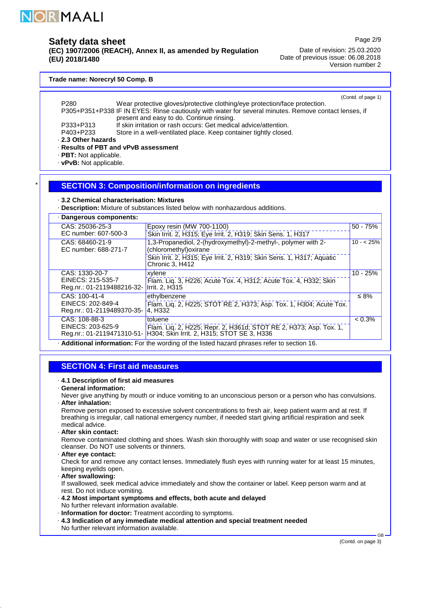

\*

### **Safety data sheet**

**(EC) 1907/2006 (REACH), Annex II, as amended by Regulation (EU) 2018/1480**

Page 2/9

Date of revision: 25.03.2020 Date of previous issue: 06.08.2018 Version number 2

#### **Trade name: Norecryl 50 Comp. B**

(Contd. of page 1)

- **2.3 Other hazards** · P280 Wear protective gloves/protective clothing/eye protection/face protection. P305+P351+P338 IF IN EYES: Rinse cautiously with water for several minutes. Remove contact lenses, if present and easy to do. Continue rinsing. P333+P313 If skin irritation or rash occurs: Get medical advice/attention.<br>P403+P233 Store in a well-ventilated place. Keep container tightly closed Store in a well-ventilated place. Keep container tightly closed.
- **Results of PBT and vPvB assessment** ·
- · PBT: Not applicable.
- · vPvB: Not applicable.

### **SECTION 3: Composition/information on ingredients**

- **3.2 Chemical characterisation: Mixtures** ·
- **Description:** · Mixture of substances listed below with nonhazardous additions.

| · Dangerous components:                         |                                                                                                                                                             |            |
|-------------------------------------------------|-------------------------------------------------------------------------------------------------------------------------------------------------------------|------------|
| CAS: 25036-25-3                                 | Epoxy resin (MW 700-1100)                                                                                                                                   | $50 - 75%$ |
| EC number: 607-500-3                            | Skin Irrit. 2, H315; Eye Irrit. 2, H319; Skin Sens. 1, H317                                                                                                 |            |
| CAS: 68460-21-9<br>EC number: 688-271-7         | 1,3-Propanediol, 2-(hydroxymethyl)-2-methyl-, polymer with 2-<br>(chloromethyl) oxirane                                                                     | $10 - 25%$ |
|                                                 | Skin Irrit. 2, H315; Eye Irrit. 2, H319; Skin Sens. 1, H317; Aquatic<br>Chronic 3, H412                                                                     |            |
| CAS: 1330-20-7                                  | xylene                                                                                                                                                      | $10 - 25%$ |
| EINECS: 215-535-7<br>Reg.nr.: 01-2119488216-32- | Flam. Lig. 3, H226; Acute Tox. 4, H312; Acute Tox. 4, H332; Skin<br>Irrit. 2, H315                                                                          |            |
| CAS: 100-41-4                                   | ethylbenzene                                                                                                                                                | $\leq 8\%$ |
| EINECS: 202-849-4<br>Reg.nr.: 01-2119489370-35- | Flam. Liq. 2, H225; STOT RE 2, H373; Asp. Tox. 1, H304; Acute Tox.<br>4, H332                                                                               |            |
| CAS: 108-88-3                                   | toluene                                                                                                                                                     | $< 0.3\%$  |
|                                                 | EINECS: 203-625-9   Flam. Liq. 2, H225; Repr. 2, H361d; STOT RE 2, H373; Asp. Tox. 1, Reg.nr.: 01-2119471310-51- H304; Skin Irrit. 2, H315; STOT SE 3, H336 |            |
|                                                 | . Additional information: For the wording of the listed hazard phrases refer to section 16.                                                                 |            |

### **SECTION 4: First aid measures**

- **4.1 Description of first aid measures** ·
- **General information:** ·
- **After inhalation:** · Never give anything by mouth or induce vomiting to an unconscious person or a person who has convulsions.

Remove person exposed to excessive solvent concentrations to fresh air, keep patient warm and at rest. If breathing is irregular, call national emergency number, if needed start giving artificial respiration and seek medical advice.

**After skin contact:** ·

Remove contaminated clothing and shoes. Wash skin thoroughly with soap and water or use recognised skin cleanser. Do NOT use solvents or thinners.

**After eye contact:** ·

Check for and remove any contact lenses. Immediately flush eyes with running water for at least 15 minutes, keeping eyelids open.

**After swallowing:** ·

If swallowed, seek medical advice immediately and show the container or label. Keep person warm and at rest. Do not induce vomiting.

- **4.2 Most important symptoms and effects, both acute and delayed** · No further relevant information available.
- **Information for doctor:** · Treatment according to symptoms.
- **4.3 Indication of any immediate medical attention and special treatment needed** · No further relevant information available.

(Contd. on page 3)

GB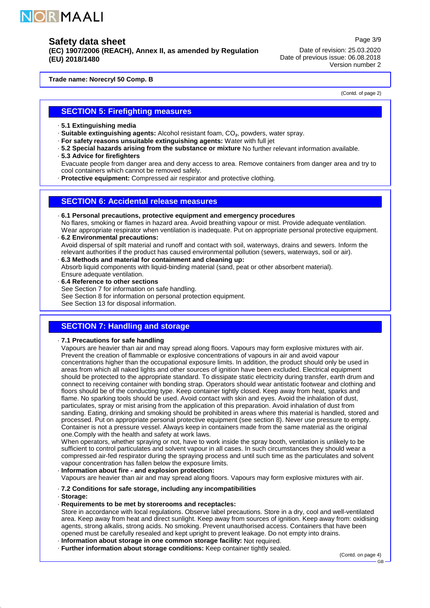

**(EC) 1907/2006 (REACH), Annex II, as amended by Regulation (EU) 2018/1480**

Date of revision: 25.03.2020 Date of previous issue: 06.08.2018 Version number 2

**Trade name: Norecryl 50 Comp. B**

(Contd. of page 2)

Page 3/9

### **SECTION 5: Firefighting measures**

**5.1 Extinguishing media** ·

**Suitable extinguishing agents:** · Alcohol resistant foam, CO₂, powders, water spray.

- **For safety reasons unsuitable extinguishing agents:** · Water with full jet
- **5.2 Special hazards arising from the substance or mixture** · No further relevant information available. **5.3 Advice for firefighters** ·

Evacuate people from danger area and deny access to area. Remove containers from danger area and try to cool containers which cannot be removed safely.

**Protective equipment:** · Compressed air respirator and protective clothing.

### **SECTION 6: Accidental release measures**

**6.1 Personal precautions, protective equipment and emergency procedures** ·

**6.2 Environmental precautions:** · No flares, smoking or flames in hazard area. Avoid breathing vapour or mist. Provide adequate ventilation. Wear appropriate respirator when ventilation is inadequate. Put on appropriate personal protective equipment.

- Avoid dispersal of spilt material and runoff and contact with soil, waterways, drains and sewers. Inform the relevant authorities if the product has caused environmental pollution (sewers, waterways, soil or air).
- **6.3 Methods and material for containment and cleaning up:** · Absorb liquid components with liquid-binding material (sand, peat or other absorbent material). Ensure adequate ventilation.
- **6.4 Reference to other sections** · See Section 7 for information on safe handling.
- See Section 8 for information on personal protection equipment.

See Section 13 for disposal information.

# **SECTION 7: Handling and storage**

**7.1 Precautions for safe handling** ·

Vapours are heavier than air and may spread along floors. Vapours may form explosive mixtures with air. Prevent the creation of flammable or explosive concentrations of vapours in air and avoid vapour concentrations higher than the occupational exposure limits. In addition, the product should only be used in areas from which all naked lights and other sources of ignition have been excluded. Electrical equipment should be protected to the appropriate standard. To dissipate static electricity during transfer, earth drum and connect to receiving container with bonding strap. Operators should wear antistatic footwear and clothing and floors should be of the conducting type. Keep container tightly closed. Keep away from heat, sparks and flame. No sparking tools should be used. Avoid contact with skin and eyes. Avoid the inhalation of dust, particulates, spray or mist arising from the application of this preparation. Avoid inhalation of dust from sanding. Eating, drinking and smoking should be prohibited in areas where this material is handled, stored and processed. Put on appropriate personal protective equipment (see section 8). Never use pressure to empty. Container is not a pressure vessel. Always keep in containers made from the same material as the original one.Comply with the health and safety at work laws.

When operators, whether spraying or not, have to work inside the spray booth, ventilation is unlikely to be sufficient to control particulates and solvent vapour in all cases. In such circumstances they should wear a compressed air-fed respirator during the spraying process and until such time as the particulates and solvent vapour concentration has fallen below the exposure limits.

**Information about fire - and explosion protection:** ·

Vapours are heavier than air and may spread along floors. Vapours may form explosive mixtures with air.

- **7.2 Conditions for safe storage, including any incompatibilities** ·
- **Storage:** ·
- **Requirements to be met by storerooms and receptacles:** ·

Store in accordance with local regulations. Observe label precautions. Store in a dry, cool and well-ventilated area. Keep away from heat and direct sunlight. Keep away from sources of ignition. Keep away from: oxidising agents, strong alkalis, strong acids. No smoking. Prevent unauthorised access. Containers that have been opened must be carefully resealed and kept upright to prevent leakage. Do not empty into drains.

- **Information about storage in one common storage facility:** · Not required.
- **Further information about storage conditions:** · Keep container tightly sealed.

(Contd. on page 4)

GB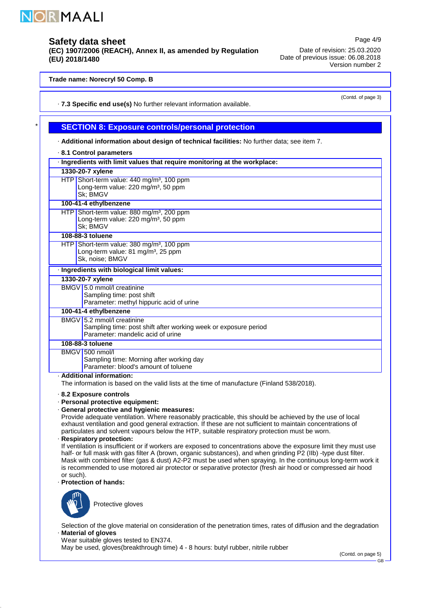

\*

## **Safety data sheet**

**(EC) 1907/2006 (REACH), Annex II, as amended by Regulation (EU) 2018/1480**

Page 4/9 Date of revision: 25.03.2020 Date of previous issue: 06.08.2018 Version number 2

#### **Trade name: Norecryl 50 Comp. B**

(Contd. of page 3)

#### **7.3 Specific end use(s)** · No further relevant information available.

### **SECTION 8: Exposure controls/personal protection**

**Additional information about design of technical facilities:** · No further data; see item 7.

|                                                                           | 8.1 Control parameters                                                                                                             |  |  |  |
|---------------------------------------------------------------------------|------------------------------------------------------------------------------------------------------------------------------------|--|--|--|
| · Ingredients with limit values that require monitoring at the workplace: |                                                                                                                                    |  |  |  |
|                                                                           | 1330-20-7 xylene                                                                                                                   |  |  |  |
|                                                                           | HTP Short-term value: 440 mg/m <sup>3</sup> , 100 ppm<br>Long-term value: 220 mg/m <sup>3</sup> , 50 ppm<br>Sk; BMGV               |  |  |  |
|                                                                           | 100-41-4 ethylbenzene                                                                                                              |  |  |  |
|                                                                           | HTP Short-term value: 880 mg/m <sup>3</sup> , 200 ppm<br>Long-term value: 220 mg/m <sup>3</sup> , 50 ppm<br>Sk: BMGV               |  |  |  |
|                                                                           | 108-88-3 toluene                                                                                                                   |  |  |  |
|                                                                           | HTP Short-term value: 380 mg/m <sup>3</sup> , 100 ppm<br>Long-term value: 81 mg/m <sup>3</sup> , 25 ppm<br>Sk, noise; BMGV         |  |  |  |
|                                                                           | · Ingredients with biological limit values:                                                                                        |  |  |  |
|                                                                           | 1330-20-7 xylene                                                                                                                   |  |  |  |
|                                                                           | BMGV 5.0 mmol/l creatinine<br>Sampling time: post shift<br>Parameter: methyl hippuric acid of urine                                |  |  |  |
|                                                                           | 100-41-4 ethylbenzene                                                                                                              |  |  |  |
|                                                                           | BMGV 5.2 mmol/l creatinine<br>Sampling time: post shift after working week or exposure period<br>Parameter: mandelic acid of urine |  |  |  |
|                                                                           | 108-88-3 toluene                                                                                                                   |  |  |  |
|                                                                           | BMGV 500 nmol/l<br>Sampling time: Morning after working day<br>Parameter: blood's amount of toluene<br>Additional information:     |  |  |  |

**Additional information:** ·

The information is based on the valid lists at the time of manufacture (Finland 538/2018).

**8.2 Exposure controls** ·

- **Personal protective equipment:** ·
- **General protective and hygienic measures:** ·

Provide adequate ventilation. Where reasonably practicable, this should be achieved by the use of local exhaust ventilation and good general extraction. If these are not sufficient to maintain concentrations of particulates and solvent vapours below the HTP, suitable respiratory protection must be worn.

**Respiratory protection:** ·

If ventilation is insufficient or if workers are exposed to concentrations above the exposure limit they must use half- or full mask with gas filter A (brown, organic substances), and when grinding P2 (IIb) -type dust filter. Mask with combined filter (gas & dust) A2-P2 must be used when spraying. In the continuous long-term work it is recommended to use motored air protector or separative protector (fresh air hood or compressed air hood or such).

**Protection of hands:** ·



Protective gloves

**Material of gloves** · Selection of the glove material on consideration of the penetration times, rates of diffusion and the degradation

Wear suitable gloves tested to EN374.

May be used, gloves(breakthrough time) 4 - 8 hours: butyl rubber, nitrile rubber

(Contd. on page 5)

GB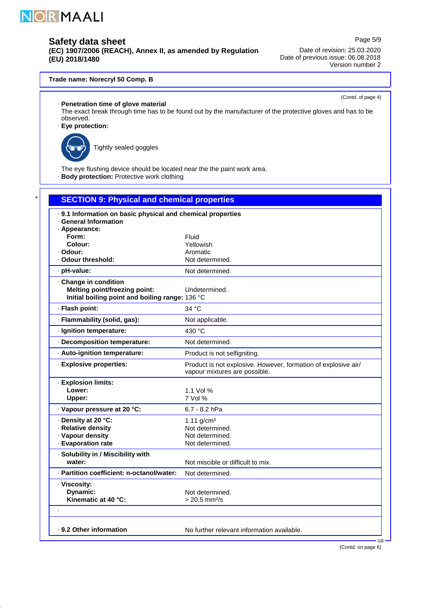

**(EC) 1907/2006 (REACH), Annex II, as amended by Regulation (EU) 2018/1480**

Page 5/9 Date of revision: 25.03.2020 Date of previous issue: 06.08.2018 Version number 2

### **Trade name: Norecryl 50 Comp. B**

(Contd. of page 4)

**Penetration time of glove material** ·

- The exact break through time has to be found out by the manufacturer of the protective gloves and has to be observed.
- **Eye protection:** ·



\*

Tightly sealed goggles

The eye flushing device should be located near the the paint work area.

· Body protection: Protective work clothing

| <b>SECTION 9: Physical and chemical properties</b>                                                               |                                                                                                 |
|------------------------------------------------------------------------------------------------------------------|-------------------------------------------------------------------------------------------------|
| · 9.1 Information on basic physical and chemical properties<br>· General Information                             |                                                                                                 |
| · Appearance:<br>Form:                                                                                           | Fluid                                                                                           |
| Colour:                                                                                                          | Yellowish                                                                                       |
| · Odour:                                                                                                         | Aromatic                                                                                        |
| · Odour threshold:                                                                                               | Not determined.                                                                                 |
| · pH-value:                                                                                                      | Not determined.                                                                                 |
| · Change in condition<br><b>Melting point/freezing point:</b><br>Initial boiling point and boiling range: 136 °C | Undetermined.                                                                                   |
| · Flash point:                                                                                                   | 34 °C                                                                                           |
| · Flammability (solid, gas):                                                                                     | Not applicable.                                                                                 |
| · Ignition temperature:                                                                                          | 430 °C                                                                                          |
| · Decomposition temperature:                                                                                     | Not determined.                                                                                 |
| · Auto-ignition temperature:                                                                                     | Product is not selfigniting.                                                                    |
| · Explosive properties:                                                                                          | Product is not explosive. However, formation of explosive air/<br>vapour mixtures are possible. |
| · Explosion limits:                                                                                              |                                                                                                 |
| Lower:                                                                                                           | 1.1 Vol %                                                                                       |
| Upper:                                                                                                           | 7 Vol %                                                                                         |
| · Vapour pressure at 20 °C:                                                                                      | 6.7 - 8.2 hPa                                                                                   |
| · Density at 20 °C:<br>· Relative density                                                                        | 1.11 $q/cm^3$                                                                                   |
| · Vapour density                                                                                                 | Not determined.<br>Not determined.                                                              |
| · Evaporation rate                                                                                               | Not determined.                                                                                 |
| · Solubility in / Miscibility with<br>water:                                                                     | Not miscible or difficult to mix.                                                               |
| · Partition coefficient: n-octanol/water:                                                                        | Not determined.                                                                                 |
| · Viscosity:<br>Dynamic:<br>Kinematic at 40 °C:                                                                  | Not determined.<br>$> 20.5$ mm <sup>2</sup> /s                                                  |
|                                                                                                                  |                                                                                                 |
| . 9.2 Other information                                                                                          | No further relevant information available.<br><b>GB</b>                                         |

(Contd. on page 6)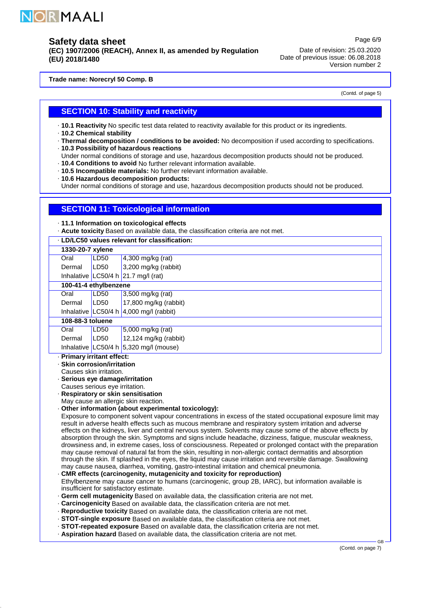

**(EC) 1907/2006 (REACH), Annex II, as amended by Regulation (EU) 2018/1480**

Date of revision: 25.03.2020 Date of previous issue: 06.08.2018 Version number 2

**Trade name: Norecryl 50 Comp. B**

(Contd. of page 5)

Page 6/9

### **SECTION 10: Stability and reactivity**

**10.1 Reactivity** No specific test data related to reactivity available for this product or its ingredients.

- **10.2 Chemical stability** ·
- **Thermal decomposition / conditions to be avoided:** · No decomposition if used according to specifications.
- **10.3 Possibility of hazardous reactions** ·
- Under normal conditions of storage and use, hazardous decomposition products should not be produced.
- **10.4 Conditions to avoid** No further relevant information available.
- **10.5 Incompatible materials:** · No further relevant information available. **10.6 Hazardous decomposition products:** ·

Under normal conditions of storage and use, hazardous decomposition products should not be produced.

### **SECTION 11: Toxicological information**

**11.1 Information on toxicological effects** ·

 $\cdot$  Acute toxicity Based on available data, the classification criteria are not met.

| · LD/LC50 values relevant for classification:                                                                               |                       |                                                                                                                                                                                                                                                                                                                                                                                                                                                                                                                                                                                                                                                                                                                                                                                                                                                                                                                                                                                                                                                                                                                                                                                                                                                                                                                                                                                                                                                                                                                                                                                                                                                                                                                                                                                                                                                   |  |
|-----------------------------------------------------------------------------------------------------------------------------|-----------------------|---------------------------------------------------------------------------------------------------------------------------------------------------------------------------------------------------------------------------------------------------------------------------------------------------------------------------------------------------------------------------------------------------------------------------------------------------------------------------------------------------------------------------------------------------------------------------------------------------------------------------------------------------------------------------------------------------------------------------------------------------------------------------------------------------------------------------------------------------------------------------------------------------------------------------------------------------------------------------------------------------------------------------------------------------------------------------------------------------------------------------------------------------------------------------------------------------------------------------------------------------------------------------------------------------------------------------------------------------------------------------------------------------------------------------------------------------------------------------------------------------------------------------------------------------------------------------------------------------------------------------------------------------------------------------------------------------------------------------------------------------------------------------------------------------------------------------------------------------|--|
| 1330-20-7 xylene                                                                                                            |                       |                                                                                                                                                                                                                                                                                                                                                                                                                                                                                                                                                                                                                                                                                                                                                                                                                                                                                                                                                                                                                                                                                                                                                                                                                                                                                                                                                                                                                                                                                                                                                                                                                                                                                                                                                                                                                                                   |  |
| Oral                                                                                                                        | LD50                  | 4,300 mg/kg (rat)                                                                                                                                                                                                                                                                                                                                                                                                                                                                                                                                                                                                                                                                                                                                                                                                                                                                                                                                                                                                                                                                                                                                                                                                                                                                                                                                                                                                                                                                                                                                                                                                                                                                                                                                                                                                                                 |  |
| Dermal                                                                                                                      | LD50                  | 3,200 mg/kg (rabbit)                                                                                                                                                                                                                                                                                                                                                                                                                                                                                                                                                                                                                                                                                                                                                                                                                                                                                                                                                                                                                                                                                                                                                                                                                                                                                                                                                                                                                                                                                                                                                                                                                                                                                                                                                                                                                              |  |
|                                                                                                                             |                       | Inhalative $LC50/4 h$ 21.7 mg/l (rat)                                                                                                                                                                                                                                                                                                                                                                                                                                                                                                                                                                                                                                                                                                                                                                                                                                                                                                                                                                                                                                                                                                                                                                                                                                                                                                                                                                                                                                                                                                                                                                                                                                                                                                                                                                                                             |  |
|                                                                                                                             | 100-41-4 ethylbenzene |                                                                                                                                                                                                                                                                                                                                                                                                                                                                                                                                                                                                                                                                                                                                                                                                                                                                                                                                                                                                                                                                                                                                                                                                                                                                                                                                                                                                                                                                                                                                                                                                                                                                                                                                                                                                                                                   |  |
| Oral                                                                                                                        | <b>LD50</b>           | 3,500 mg/kg (rat)                                                                                                                                                                                                                                                                                                                                                                                                                                                                                                                                                                                                                                                                                                                                                                                                                                                                                                                                                                                                                                                                                                                                                                                                                                                                                                                                                                                                                                                                                                                                                                                                                                                                                                                                                                                                                                 |  |
| Dermal                                                                                                                      | LD50                  | 17,800 mg/kg (rabbit)                                                                                                                                                                                                                                                                                                                                                                                                                                                                                                                                                                                                                                                                                                                                                                                                                                                                                                                                                                                                                                                                                                                                                                                                                                                                                                                                                                                                                                                                                                                                                                                                                                                                                                                                                                                                                             |  |
| Inhalative LC50/4 h                                                                                                         |                       | $4,000$ mg/l (rabbit)                                                                                                                                                                                                                                                                                                                                                                                                                                                                                                                                                                                                                                                                                                                                                                                                                                                                                                                                                                                                                                                                                                                                                                                                                                                                                                                                                                                                                                                                                                                                                                                                                                                                                                                                                                                                                             |  |
| 108-88-3 toluene                                                                                                            |                       |                                                                                                                                                                                                                                                                                                                                                                                                                                                                                                                                                                                                                                                                                                                                                                                                                                                                                                                                                                                                                                                                                                                                                                                                                                                                                                                                                                                                                                                                                                                                                                                                                                                                                                                                                                                                                                                   |  |
| Oral                                                                                                                        | LD50                  | 5,000 mg/kg (rat)                                                                                                                                                                                                                                                                                                                                                                                                                                                                                                                                                                                                                                                                                                                                                                                                                                                                                                                                                                                                                                                                                                                                                                                                                                                                                                                                                                                                                                                                                                                                                                                                                                                                                                                                                                                                                                 |  |
| Dermal                                                                                                                      | LD50                  | 12,124 mg/kg (rabbit)                                                                                                                                                                                                                                                                                                                                                                                                                                                                                                                                                                                                                                                                                                                                                                                                                                                                                                                                                                                                                                                                                                                                                                                                                                                                                                                                                                                                                                                                                                                                                                                                                                                                                                                                                                                                                             |  |
|                                                                                                                             |                       | Inhalative $ LC50/4 h 5,320 mg/l$ (mouse)                                                                                                                                                                                                                                                                                                                                                                                                                                                                                                                                                                                                                                                                                                                                                                                                                                                                                                                                                                                                                                                                                                                                                                                                                                                                                                                                                                                                                                                                                                                                                                                                                                                                                                                                                                                                         |  |
| · Skin corrosion/irritation<br>Causes skin irritation.<br>· Serious eye damage/irritation<br>Causes serious eye irritation. |                       | · Respiratory or skin sensitisation<br>May cause an allergic skin reaction.<br>· Other information (about experimental toxicology):<br>Exposure to component solvent vapour concentrations in excess of the stated occupational exposure limit may<br>result in adverse health effects such as mucous membrane and respiratory system irritation and adverse<br>effects on the kidneys, liver and central nervous system. Solvents may cause some of the above effects by<br>absorption through the skin. Symptoms and signs include headache, dizziness, fatigue, muscular weakness,<br>drowsiness and, in extreme cases, loss of consciousness. Repeated or prolonged contact with the preparation<br>may cause removal of natural fat from the skin, resulting in non-allergic contact dermatitis and absorption<br>through the skin. If splashed in the eyes, the liquid may cause irritation and reversible damage. Swallowing<br>may cause nausea, diarrhea, vomiting, gastro-intestinal irritation and chemical pneumonia.<br>CMR effects (carcinogenity, mutagenicity and toxicity for reproduction)<br>Ethylbenzene may cause cancer to humans (carcinogenic, group 2B, IARC), but information available is<br>insufficient for satisfactory estimate.<br>· Germ cell mutagenicity Based on available data, the classification criteria are not met.<br>. Carcinogenicity Based on available data, the classification criteria are not met.<br>. Reproductive toxicity Based on available data, the classification criteria are not met.<br>· STOT-single exposure Based on available data, the classification criteria are not met.<br>· STOT-repeated exposure Based on available data, the classification criteria are not met.<br>. Aspiration hazard Based on available data, the classification criteria are not met.<br><b>GB</b> |  |

(Contd. on page 7)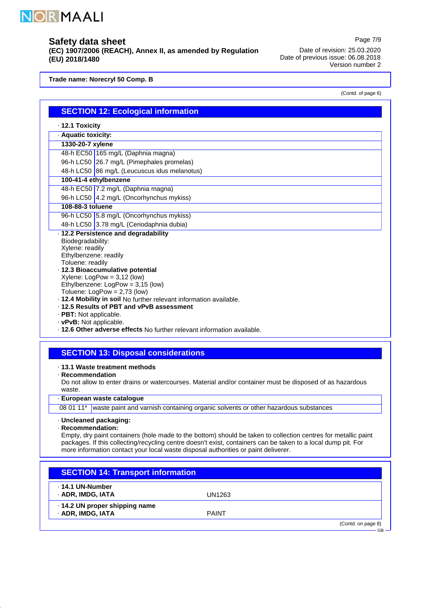

**(EC) 1907/2006 (REACH), Annex II, as amended by Regulation (EU) 2018/1480**

Date of revision: 25.03.2020 Date of previous issue: 06.08.2018 Version number 2

**Trade name: Norecryl 50 Comp. B**

(Contd. of page 6)

Page 7/9

|                         | <b>SECTION 12: Ecological information</b>                                                                      |  |  |  |
|-------------------------|----------------------------------------------------------------------------------------------------------------|--|--|--|
| $\cdot$ 12.1 Toxicity   |                                                                                                                |  |  |  |
| · Aquatic toxicity:     |                                                                                                                |  |  |  |
| 1330-20-7 xylene        |                                                                                                                |  |  |  |
|                         | 48-h EC50 165 mg/L (Daphnia magna)                                                                             |  |  |  |
|                         | 96-h LC50 26.7 mg/L (Pimephales promelas)                                                                      |  |  |  |
|                         | 48-h LC50 86 mg/L (Leucuscus idus melanotus)                                                                   |  |  |  |
|                         |                                                                                                                |  |  |  |
|                         | 100-41-4 ethylbenzene<br>48-h EC50 7.2 mg/L (Daphnia magna)                                                    |  |  |  |
|                         | 96-h LC50 4.2 mg/L (Oncorhynchus mykiss)                                                                       |  |  |  |
| 108-88-3 toluene        |                                                                                                                |  |  |  |
|                         | 96-h LC50 5.8 mg/L (Oncorhynchus mykiss)                                                                       |  |  |  |
|                         | 48-h LC50 3.78 mg/L (Ceriodaphnia dubia)                                                                       |  |  |  |
|                         | · 12.2 Persistence and degradability                                                                           |  |  |  |
|                         |                                                                                                                |  |  |  |
|                         | Biodegradability:<br>Xylene: readily                                                                           |  |  |  |
| Ethylbenzene: readily   |                                                                                                                |  |  |  |
| Toluene: readily        |                                                                                                                |  |  |  |
|                         | · 12.3 Bioaccumulative potential                                                                               |  |  |  |
|                         | $X$ ylene: LogPow = 3,12 (low)                                                                                 |  |  |  |
|                         | Ethylbenzene: LogPow = 3,15 (low)                                                                              |  |  |  |
|                         | Toluene: $LogPow = 2,73$ (low)<br>. 12.4 Mobility in soil No further relevant information available.           |  |  |  |
|                         | .12.5 Results of PBT and vPvB assessment                                                                       |  |  |  |
| · PBT: Not applicable.  |                                                                                                                |  |  |  |
| · vPvB: Not applicable. |                                                                                                                |  |  |  |
|                         | · 12.6 Other adverse effects No further relevant information available.                                        |  |  |  |
|                         |                                                                                                                |  |  |  |
|                         |                                                                                                                |  |  |  |
|                         | <b>SECTION 13: Disposal considerations</b>                                                                     |  |  |  |
|                         | ⋅ 13.1 Waste treatment methods                                                                                 |  |  |  |
| · Recommendation        |                                                                                                                |  |  |  |
|                         | Do not allow to enter drains or watercourses. Material and/or container must be disposed of as hazardous       |  |  |  |
| waste.                  |                                                                                                                |  |  |  |
|                         | · European waste catalogue                                                                                     |  |  |  |
|                         | 08 01 11* waste paint and varnish containing organic solvents or other hazardous substances                    |  |  |  |
|                         |                                                                                                                |  |  |  |
| · Uncleaned packaging:  |                                                                                                                |  |  |  |
| $\cdot$ Recommendation: | Empty, dry paint containers (hole made to the bottom) should be taken to collection centres for metallic paint |  |  |  |
|                         | packages. If this collecting/recycling centre doesn't exist, containers can be taken to a local dump pit. For  |  |  |  |
|                         | more information contact your local waste disposal authorities or paint deliverer.                             |  |  |  |
|                         |                                                                                                                |  |  |  |
|                         |                                                                                                                |  |  |  |
|                         | <b>SECTION 14: Transport information</b>                                                                       |  |  |  |
|                         |                                                                                                                |  |  |  |
| . 14.1 UN-Number        |                                                                                                                |  |  |  |
| · ADR, IMDG, IATA       | <b>UN1263</b>                                                                                                  |  |  |  |
|                         | · 14.2 UN proper shipping name                                                                                 |  |  |  |
| · ADR, IMDG, IATA       | <b>PAINT</b>                                                                                                   |  |  |  |

(Contd. on page 8) GB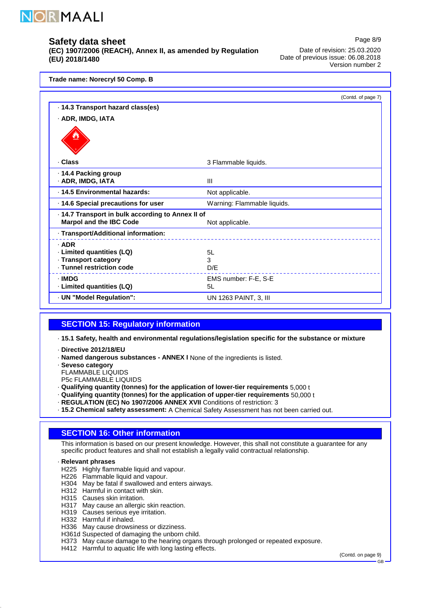

**(EC) 1907/2006 (REACH), Annex II, as amended by Regulation (EU) 2018/1480**

Date of revision: 25.03.2020 Date of previous issue: 06.08.2018 Version number 2

Page 8/9

**Trade name: Norecryl 50 Comp. B**

|                                                   | (Contd. of page 7)          |
|---------------------------------------------------|-----------------------------|
| · 14.3 Transport hazard class(es)                 |                             |
| · ADR, IMDG, IATA                                 |                             |
|                                                   |                             |
| · Class                                           | 3 Flammable liquids.        |
| ⋅ 14.4 Packing group                              |                             |
| · ADR, IMDG, IATA                                 | III                         |
| · 14.5 Environmental hazards:                     | Not applicable.             |
| 14.6 Special precautions for user                 | Warning: Flammable liquids. |
| · 14.7 Transport in bulk according to Annex II of |                             |
| <b>Marpol and the IBC Code</b>                    | Not applicable.             |
| · Transport/Additional information:               |                             |
| $·$ ADR                                           |                             |
| · Limited quantities (LQ)                         | 5L                          |
| · Transport category                              | 3                           |
| · Tunnel restriction code                         | D/E                         |
| · IMDG                                            | EMS number: F-E, S-E        |
| · Limited quantities (LQ)                         | 5L                          |
| · UN "Model Regulation":                          | UN 1263 PAINT, 3, III       |

### **SECTION 15: Regulatory information**

**15.1 Safety, health and environmental regulations/legislation specific for the substance or mixture** ·

- **Directive 2012/18/EU** ·
- **Named dangerous substances - ANNEX I** · None of the ingredients is listed.
- **Seveso category** ·
- FLAMMABLE LIQUIDS
- P5c FLAMMABLE LIQUIDS
- **Qualifying quantity (tonnes) for the application of lower-tier requirements** · 5,000 t
- **Qualifying quantity (tonnes) for the application of upper-tier requirements** · 50,000 t
- **REGULATION (EC) No 1907/2006 ANNEX XVII** · Conditions of restriction: 3
- **15.2 Chemical safety assessment:** A Chemical Safety Assessment has not been carried out.

### **SECTION 16: Other information**

This information is based on our present knowledge. However, this shall not constitute a guarantee for any specific product features and shall not establish a legally valid contractual relationship.

#### **Relevant phrases** ·

- H225 Highly flammable liquid and vapour.
- H226 Flammable liquid and vapour.
- H304 May be fatal if swallowed and enters airways.
- H312 Harmful in contact with skin.
- H315 Causes skin irritation.
- H317 May cause an allergic skin reaction.
- H319 Causes serious eye irritation.
- H332 Harmful if inhaled.
- H336 May cause drowsiness or dizziness.
- H361d Suspected of damaging the unborn child.
- H373 May cause damage to the hearing organs through prolonged or repeated exposure. H412 Harmful to aquatic life with long lasting effects.
	-

(Contd. on page 9) GB